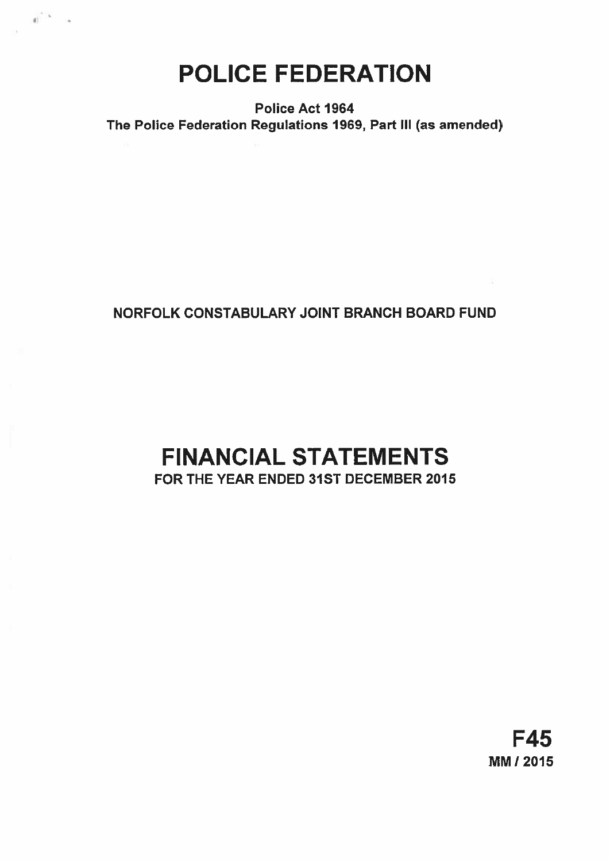POLICE FEDERATION

 $\mathbb{R}^{\mathbb{C}^n\times k}$ 

Police Act 1964 The Police Federation Regulations 1969, Part Ill (as amended)

# NORFOLK CONSTABULARY JOINT BRANCH BOARD FUND

# FINANCIAL STATEMENTS FOR THE YEAR ENDED 31ST DECEMBER 2015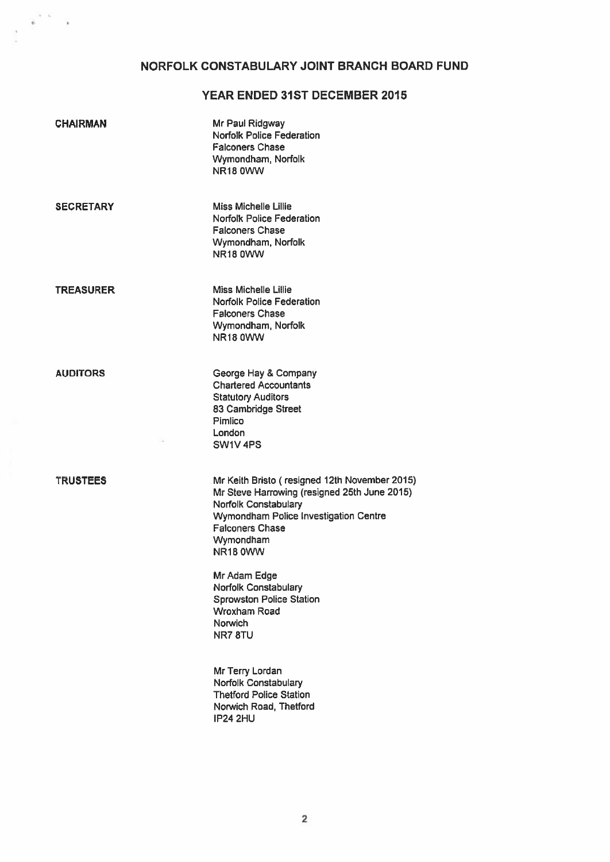# NORFOLK CONSTABULARY JOINT BRANCH BOARD FUND

 $\mathbf{e}^{(t-k)}$  .

## YEAR ENDED 31ST DECEMBER 2015

| <b>CHAIRMAN</b>  | Mr Paul Ridgway<br><b>Norfolk Police Federation</b><br><b>Falconers Chase</b><br>Wymondham, Norfolk<br><b>NR18 0WW</b>                                                                                            |
|------------------|-------------------------------------------------------------------------------------------------------------------------------------------------------------------------------------------------------------------|
| <b>SECRETARY</b> | <b>Miss Michelle Lillie</b><br><b>Norfolk Police Federation</b><br><b>Falconers Chase</b><br>Wymondham, Norfolk<br><b>NR18 0WW</b>                                                                                |
| <b>TREASURER</b> | <b>Miss Michelle Lillie</b><br><b>Norfolk Police Federation</b><br><b>Falconers Chase</b><br>Wymondham, Norfolk<br><b>NR18 0WW</b>                                                                                |
| <b>AUDITORS</b>  | George Hay & Company<br><b>Chartered Accountants</b><br><b>Statutory Auditors</b><br>83 Cambridge Street<br>Pimlico<br>London<br>SW1V4PS                                                                          |
| <b>TRUSTEES</b>  | Mr Keith Bristo (resigned 12th November 2015)<br>Mr Steve Harrowing (resigned 25th June 2015)<br>Norfolk Constabulary<br>Wymondham Police Investigation Centre<br><b>Falconers Chase</b><br>Wymondham<br>NR18 0WW |
|                  | Mr Adam Edge<br>Norfolk Constabulary<br><b>Sprowston Police Station</b><br><b>Wroxham Road</b><br>Norwich<br>NR7 8TU                                                                                              |
|                  | Mr Terry Lordan<br>Norfolk Constabulary<br><b>Thetford Police Station</b><br>Norwich Road, Thetford<br><b>IP24 2HU</b>                                                                                            |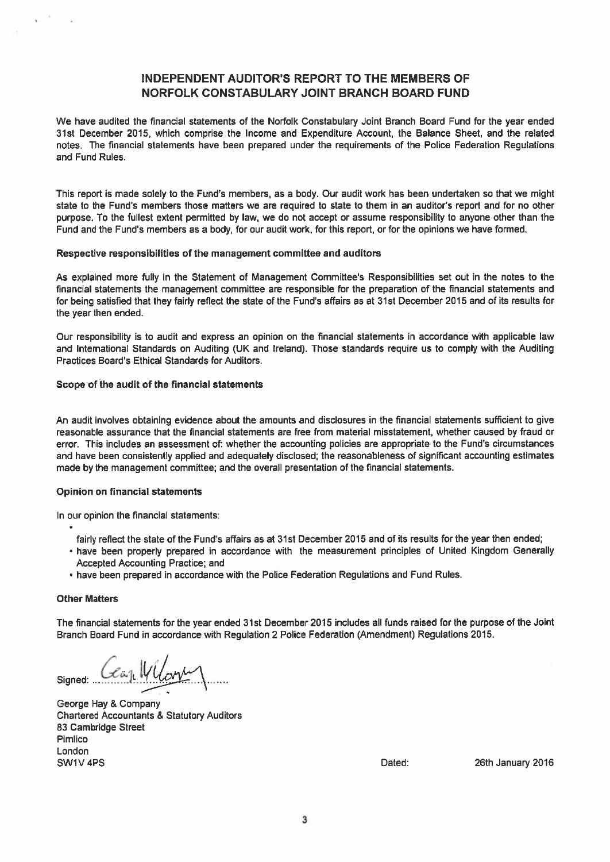### INDEPENDENT AUDITOR'S REPORT TO THE MEMBERS OF NORFOLK CONSTABULARY JOINT BRANCH BOARD FUND

We have audited the financial statements of the Norfolk Constabulary Joint Branch Board Fund for the year ended 31st December 2015, which comprise the Income and Expenditure Account, the Balance Sheet, and the related notes. The financial statements have been prepared under the requirements of the Police Federation Regulations and Fund Rules.

This repor<sup>t</sup> is made solely to the Fund's members, as <sup>a</sup> body. Our audit work has been undertaken so that we might state to the Fund's members those matters we are required to state to them in an auditor's repor<sup>t</sup> and for no other purpose. To the fullest extent permitted by law, we do not accep<sup>t</sup> or assume responsibility to anyone other than the Fund and the Fund's members as <sup>a</sup> body, for our audit work, for this report, or for the opinions we have formed.

### Respective responsibilities of the managemen<sup>t</sup> committee and auditors

As explained more fully in the Statement of Management Committee's Responsibilities set out in the notes to the financial statements the managemen<sup>t</sup> committee are responsible for the preparation of the financial statements and for being satisfied that they fairly reflect the state of the Fund's affairs as at 31st December 2015 and of its results for the year then ended.

Our responsibility is to audit and express an opinion on the financial statements in accordance with applicable law and International Standards on Auditing (UK and Ireland). Those standards require us to comply with the Auditing Practices Board's Ethical Standards for Auditors.

### Scope of the audit of the financial statements

An audit involves obtaining evidence about the amounts and disclosures in the financial statements sufficient to give reasonable assurance that the financial statements are free from material misstatement, whether caused by fraud or error. This includes an assessment of: whether the accounting policies are appropriate to the Fund's circumstances and have been consistently applied and adequately disclosed; the reasonableness of significant accounting estimates made by the managemen<sup>t</sup> committee; and the overall presentation of the financial statements.

### Opinion on financial statements

In our opinion the financial statements:

- fairly reflect the state of the Fund's affairs as at 31st December 2015 and of its results for the year then ended;
- have been properly prepared in accordance with the measurement principles of United Kingdom Generally Accepted Accounting Practice; and
- have been prepared in accordance with the Police Federation Regulations and Fund Rules.

### **Other Matters**

The financial statements for the year ended 31st December 2015 includes all funds raised for the purpose of the Joint Branch Board Fund in accordance with Regulation 2 Police Federation (Amendment) Regulations 2015.

Signed:  $GenWU_0$ 

George Hay & Company Chartered Accountants & Statutory Auditors 83 Cambridge Street Pimlico London SW1V 4PS **Dated:** 26th January 2016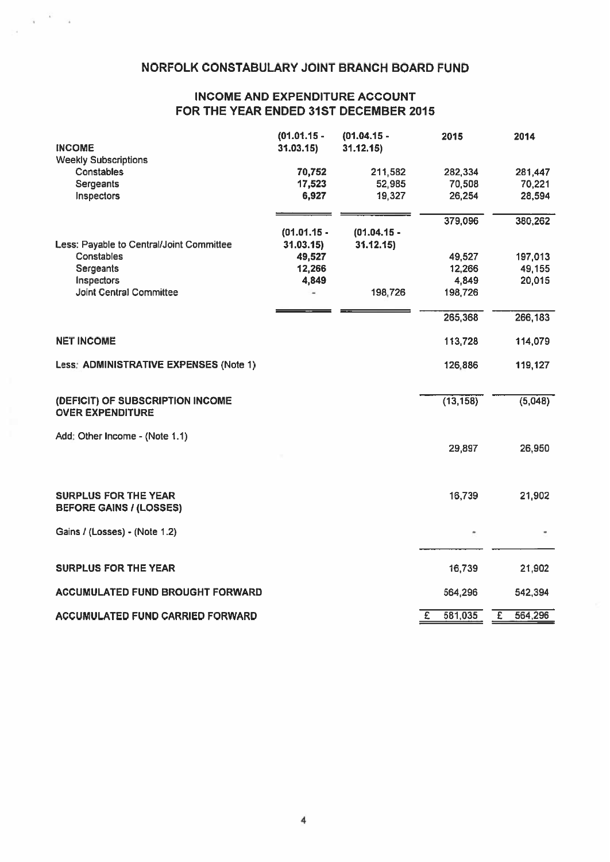### NORFOLK CONSTABULARY JOINT BRANCH BOARD FUND

### INCOME AND EXPENDITURE ACCOUNT FOR THE YEAR ENDED 31ST DECEMBER 2015

| <b>INCOME</b>                            | $(01.01.15 -$<br>31.03.15 | $(01.04.15 -$<br>31.12.15 | 2015                    | 2014         |
|------------------------------------------|---------------------------|---------------------------|-------------------------|--------------|
| <b>Weekly Subscriptions</b>              |                           |                           |                         |              |
| Constables                               | 70,752                    | 211,582                   | 282,334                 | 281,447      |
| <b>Sergeants</b>                         | 17,523                    | 52,985                    | 70,508                  | 70,221       |
| Inspectors                               | 6,927                     | 19,327                    | 26,254                  | 28,594       |
|                                          |                           |                           | 379,096                 | 380,262      |
|                                          | $(01.01.15 -$             | $(01.04.15 -$             |                         |              |
| Less: Payable to Central/Joint Committee | 31.03.15                  | 31.12.15                  |                         |              |
| Constables                               | 49,527                    |                           | 49,527                  | 197,013      |
| Sergeants                                | 12,266                    |                           | 12,266                  | 49,155       |
| Inspectors                               | 4,849                     |                           | 4,849                   | 20,015       |
| Joint Central Committee                  |                           | 198,726                   | 198,726                 |              |
|                                          |                           |                           | 265,368                 | 266,183      |
|                                          |                           |                           |                         |              |
| <b>NET INCOME</b>                        |                           |                           | 113,728                 | 114,079      |
| Less: ADMINISTRATIVE EXPENSES (Note 1)   |                           |                           | 126,886                 | 119,127      |
| (DEFICIT) OF SUBSCRIPTION INCOME         |                           |                           | (13, 158)               | (5,048)      |
| <b>OVER EXPENDITURE</b>                  |                           |                           |                         |              |
| Add: Other Income - (Note 1.1)           |                           |                           |                         |              |
|                                          |                           |                           | 29,897                  | 26,950       |
|                                          |                           |                           |                         |              |
| <b>SURPLUS FOR THE YEAR</b>              |                           |                           | 16,739                  | 21,902       |
| <b>BEFORE GAINS / (LOSSES)</b>           |                           |                           |                         |              |
| Gains / (Losses) - (Note 1.2)            |                           |                           |                         |              |
|                                          |                           |                           |                         |              |
| <b>SURPLUS FOR THE YEAR</b>              |                           |                           | 16,739                  | 21,902       |
| ACCUMULATED FUND BROUGHT FORWARD         |                           |                           | 564,296                 | 542,394      |
| <b>ACCUMULATED FUND CARRIED FORWARD</b>  |                           |                           | 581,035<br>$\mathbf{E}$ | Ŧ<br>564,296 |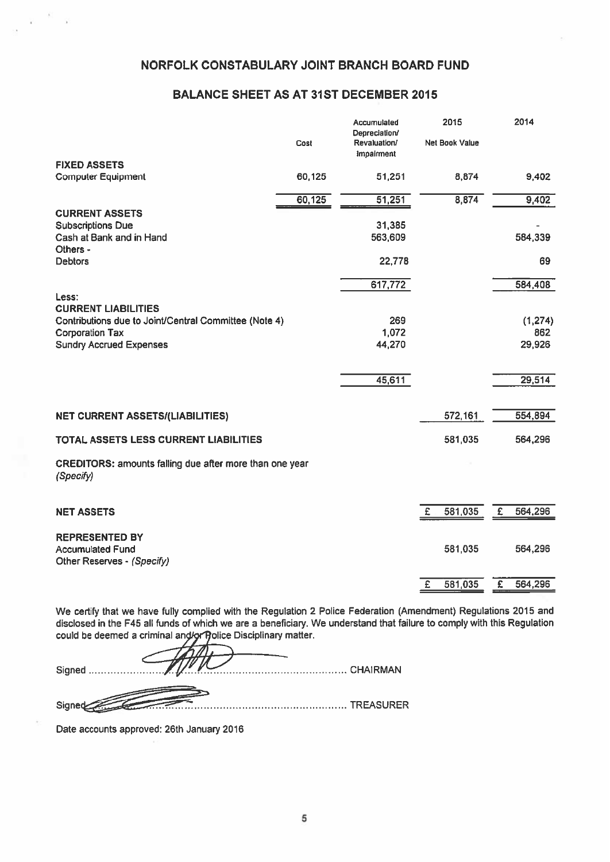### NORFOLK CONSTABULARY JOINT BRANCH BOARD FUND

### BALANCE SHEET AS AT 31ST DECEMBER 2015

|                                                                                 | Cost   | Accumulated<br>Depreciation/<br>Revaluation/<br>Impairment | 2015<br><b>Net Book Value</b> | 2014                      |
|---------------------------------------------------------------------------------|--------|------------------------------------------------------------|-------------------------------|---------------------------|
| <b>FIXED ASSETS</b>                                                             |        |                                                            |                               |                           |
| <b>Computer Equipment</b>                                                       | 60,125 | 51,251                                                     | 8,874                         | 9,402                     |
|                                                                                 | 60,125 | 51,251                                                     | 8,874                         | 9,402                     |
| <b>CURRENT ASSETS</b>                                                           |        |                                                            |                               |                           |
| <b>Subscriptions Due</b>                                                        |        | 31,385                                                     |                               |                           |
| Cash at Bank and in Hand<br>Others -                                            |        | 563,609                                                    |                               | 584,339                   |
| <b>Debtors</b>                                                                  |        | 22,778                                                     |                               | 69                        |
|                                                                                 |        | 617,772                                                    |                               | 584,408                   |
| Less:                                                                           |        |                                                            |                               |                           |
| <b>CURRENT LIABILITIES</b>                                                      |        |                                                            |                               |                           |
| Contributions due to Joint/Central Committee (Note 4)<br><b>Corporation Tax</b> |        | 269<br>1,072                                               |                               | (1, 274)<br>862           |
| <b>Sundry Accrued Expenses</b>                                                  |        | 44,270                                                     |                               | 29,926                    |
|                                                                                 |        |                                                            |                               |                           |
|                                                                                 |        |                                                            |                               | 29,514                    |
|                                                                                 |        | 45,611                                                     |                               |                           |
| <b>NET CURRENT ASSETS/(LIABILITIES)</b>                                         |        |                                                            | 572,161                       | 554,894                   |
|                                                                                 |        |                                                            |                               |                           |
| TOTAL ASSETS LESS CURRENT LIABILITIES                                           |        |                                                            | 581,035                       | 564,296                   |
| CREDITORS: amounts falling due after more than one year<br>(Specify)            |        |                                                            |                               |                           |
| <b>NET ASSETS</b>                                                               |        |                                                            | 581,035<br>£                  | £<br>564,296              |
|                                                                                 |        |                                                            |                               |                           |
| <b>REPRESENTED BY</b>                                                           |        |                                                            |                               |                           |
| <b>Accumulated Fund</b>                                                         |        |                                                            | 581,035                       | 564,296                   |
| Other Reserves - (Specify)                                                      |        |                                                            |                               |                           |
|                                                                                 |        |                                                            | 581,035<br>$\mathbf{E}$       | $\overline{E}$<br>564,296 |

We certify that we have fully complied with the Regulation <sup>2</sup> Police Federation (Amendment) Regulations 2015 and disclosed in the F45 all funds of which we are <sup>a</sup> beneficiary. We understand that failure to comply with this Regulation could be deemed a criminal and/or Rolice Disciplinary matter.

Signed CHAIRMAN Signeraz TREASURER

Date accounts approved: 26th January 2016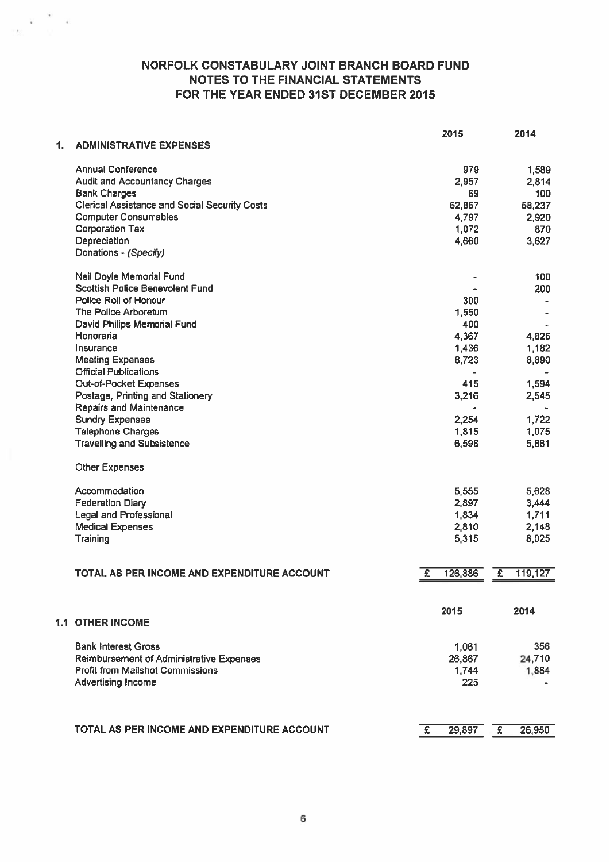### NORFOLK CONSTABULARY JOINT BRANCH BOARD FUND NOTES TO THE FINANCIAL STATEMENTS FOR THE YEAR ENDED 31ST DECEMBER 2015

|    |                                                      | 2015         |                       | 2014    |
|----|------------------------------------------------------|--------------|-----------------------|---------|
| 1. | <b>ADMINISTRATIVE EXPENSES</b>                       |              |                       |         |
|    | <b>Annual Conference</b>                             | 979          |                       | 1,589   |
|    | <b>Audit and Accountancy Charges</b>                 | 2,957        |                       | 2,814   |
|    | <b>Bank Charges</b>                                  | 69           |                       | 100     |
|    | <b>Clerical Assistance and Social Security Costs</b> | 62,867       |                       | 58,237  |
|    | <b>Computer Consumables</b>                          | 4,797        |                       | 2,920   |
|    | <b>Corporation Tax</b>                               | 1,072        |                       | 870     |
|    | Depreciation                                         | 4,660        |                       | 3,627   |
|    | Donations - (Specify)                                |              |                       |         |
|    | Neil Doyle Memorial Fund                             |              |                       | 100     |
|    | <b>Scottish Police Benevolent Fund</b>               |              |                       | 200     |
|    | Police Roll of Honour                                | 300          |                       |         |
|    | The Police Arboretum                                 | 1,550        |                       |         |
|    | David Philips Memorial Fund                          | 400          |                       |         |
|    | Honoraria                                            | 4,367        |                       | 4,825   |
|    | Insurance                                            | 1,436        |                       | 1,182   |
|    | <b>Meeting Expenses</b>                              | 8,723        |                       | 8,890   |
|    | <b>Official Publications</b>                         |              |                       |         |
|    | Out-of-Pocket Expenses                               | 415          |                       | 1,594   |
|    | Postage, Printing and Stationery                     | 3,216        |                       | 2,545   |
|    | <b>Repairs and Maintenance</b>                       |              |                       |         |
|    | <b>Sundry Expenses</b>                               | 2,254        |                       | 1,722   |
|    | <b>Telephone Charges</b>                             | 1,815        |                       | 1,075   |
|    | <b>Travelling and Subsistence</b>                    | 6,598        |                       | 5,881   |
|    | <b>Other Expenses</b>                                |              |                       |         |
|    | Accommodation                                        | 5,555        |                       | 5,628   |
|    | <b>Federation Diary</b>                              | 2,897        |                       | 3,444   |
|    | <b>Legal and Professional</b>                        | 1,834        |                       | 1,711   |
|    | <b>Medical Expenses</b>                              | 2,810        |                       | 2,148   |
|    | Training                                             | 5,315        |                       | 8,025   |
|    | TOTAL AS PER INCOME AND EXPENDITURE ACCOUNT          |              |                       |         |
|    |                                                      | 126,886<br>£ | $\overline{\epsilon}$ | 119,127 |
|    |                                                      | 2015         |                       | 2014    |
|    | <b>1.1 OTHER INCOME</b>                              |              |                       |         |
|    | <b>Bank Interest Gross</b>                           | 1,061        |                       | 356     |
|    | <b>Reimbursement of Administrative Expenses</b>      | 26,867       |                       | 24,710  |
|    | <b>Profit from Mailshot Commissions</b>              | 1,744        |                       | 1,884   |
|    | <b>Advertising Income</b>                            | 225          |                       |         |
|    |                                                      |              |                       |         |
|    | TOTAL AS PER INCOME AND EXPENDITURE ACCOUNT          | £<br>29,897  | £                     | 26,950  |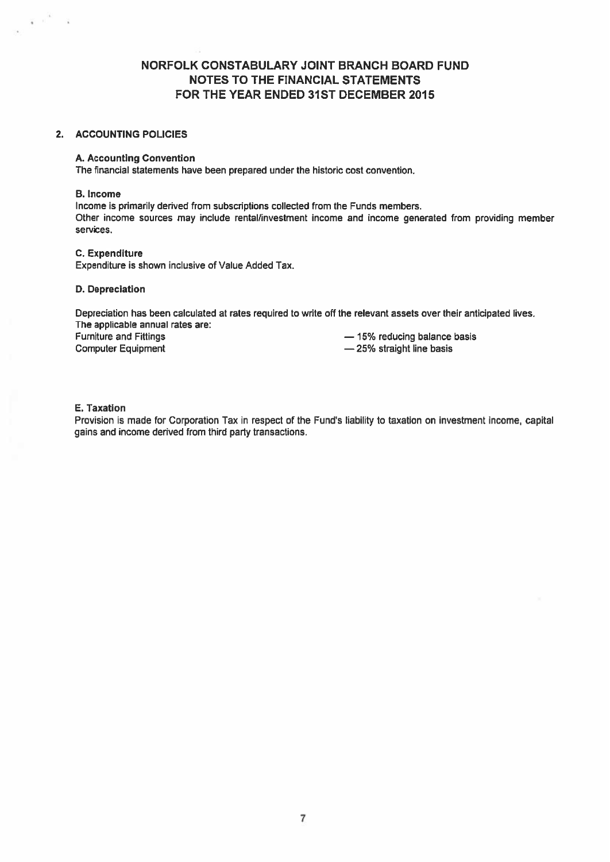### NORFOLK CONSTABULARY JOINT BRANCH BOARD FUND NOTES TO THE FINANCIAL STATEMENTS FOR THE YEAR ENDED 31ST DECEMBER 2015

### 2. ACCOUNTING POLICIES

### A. Accounting Convention

The financial statements have been prepared under the historic cost convention.

### B. Income

 $\overline{\mathbf{v}} = \mathbf{0}$ 

- 2

Income is primarily derived from subscriptions collected from the Funds members. Other income sources may include rental/investment income and income generated from providing member services.

### C. Expenditure

Expenditure is shown inclusive of Value Added Tax.

### D. Depreciation

Depreciation has been calculated at rates required to write off the relevant assets over their anticipated lives. The applicable annual rates are: Furniture and Fittings — 15% reducing balance basis

Computer Equipment **Equipment** — 25% straight line basis

### E. Taxation

Provision is made for Corporation Tax in respect of the Fund's liability to taxation on investment income, capital gains and income derived from third party transactions.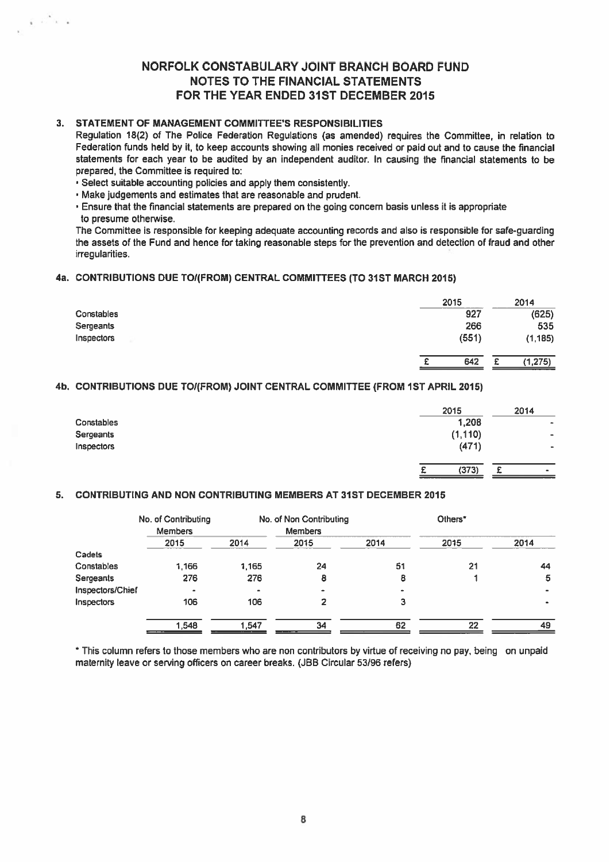### NORFOLK CONSTABULARY JOINT BRANCH BOARD FUND NOTES TO THE FINANCIAL STATEMENTS FOR THE YEAR ENDED 31ST DECEMBER 2015

### 3. STATEMENT OF MANAGEMENT COMMITTEE'S RESPONSIBILITIES

Regulation 18(2) of The Police Federation Regulations (as amended) requires the Committee, in relation to Federation funds held by it, to keep accounts showing all monies received or paid out and to cause the financial statements for each year to be audited by an independent auditor. In causing the financial statements to be prepared, the Committee is required to:

• Select suitable accounting policies and apply them consistently.

• Make judgements and estimates that are reasonable and prudent.

• Ensure that the financial statements are prepared on the going concern basis unless it is appropriate

to presume otherwise.

 $\tilde{\chi} \to \tilde{\chi}^2 \chi \to$ 

The Committee is responsible for keeping adequate accounting records and also is responsible for safe-guarding the assets of the Fund and hence for taking reasonable steps for the prevention and detection of fraud and other irregularities.

### 4a. CONTRIBUTIONS DUE TO/(FROM) CENTRAL COMMITTEES (TO 31ST MARCH 2015)

|            | 2015  | 2014<br>----  |
|------------|-------|---------------|
| Constables | 927   | (625)         |
| Sergeants  | 266   | 535           |
| Inspectors | (551) | (1, 185)      |
|            |       |               |
|            | 642   | (1, 275)<br>₽ |

### 4b. CONTRIBUTIONS DUE TO/(FROM) JOINT CENTRAL COMMITTEE (FROM 1ST APRIL 2015)

|                   | 2015            |   | 2014           |
|-------------------|-----------------|---|----------------|
| <b>Constables</b> | 1,208           |   | $\bullet$      |
| Sergeants         | (1, 110)        |   | $\blacksquare$ |
| Inspectors        | (471)           |   | -              |
|                   |                 |   |                |
|                   | (373)<br>£<br>- | c | $\blacksquare$ |

### 5. CONTRIBUTING AND NON CONTRIBUTING MEMBERS AT 31ST DECEMBER 2015

|                  | No. of Contributing |                | No. of Non Contributing |      | Others* |           |
|------------------|---------------------|----------------|-------------------------|------|---------|-----------|
|                  | <b>Members</b>      |                | <b>Members</b>          |      |         |           |
|                  | 2015                | 2014           | 2015                    | 2014 | 2015    | 2014      |
| Cadets           |                     |                |                         |      |         |           |
| Constables       | 1.166               | 1,165          | 24                      | 51   | 21      | 44        |
| Sergeants        | 276                 | 276            | 8                       | 8    |         | 5         |
| Inspectors/Chief | $\bullet$           | $\blacksquare$ | -                       |      |         | ۰         |
| Inspectors       | 106                 | 106            | 2                       | З    |         | $\bullet$ |
|                  | 1,548               | 1.547          | 34                      | 62   | 22      | 49        |

\* This column refers to those members who are non contributors by virtue of receiving no pay, being on unpaid maternity leave or serving officers on career breaks. (JBB Circular 53/96 refers)